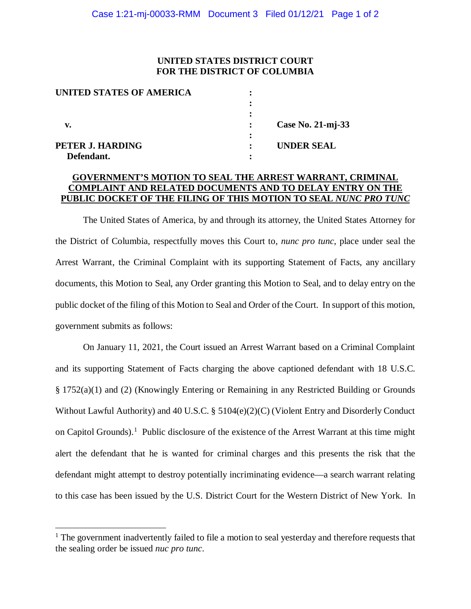## **UNITED STATES DISTRICT COURT FOR THE DISTRICT OF COLUMBIA**

| <b>UNITED STATES OF AMERICA</b> |                |                   |
|---------------------------------|----------------|-------------------|
|                                 |                |                   |
|                                 |                |                   |
| v.                              |                | Case No. 21-mj-33 |
|                                 |                |                   |
| PETER J. HARDING                | $\ddot{\cdot}$ | <b>UNDER SEAL</b> |
| Defendant.                      |                |                   |

# **GOVERNMENT'S MOTION TO SEAL THE ARREST WARRANT, CRIMINAL COMPLAINT AND RELATED DOCUMENTS AND TO DELAY ENTRY ON THE PUBLIC DOCKET OF THE FILING OF THIS MOTION TO SEAL** *NUNC PRO TUNC*

The United States of America, by and through its attorney, the United States Attorney for the District of Columbia, respectfully moves this Court to, *nunc pro tunc*, place under seal the Arrest Warrant, the Criminal Complaint with its supporting Statement of Facts, any ancillary documents, this Motion to Seal, any Order granting this Motion to Seal, and to delay entry on the public docket of the filing of this Motion to Seal and Order of the Court. In support of this motion, government submits as follows:

On January 11, 2021, the Court issued an Arrest Warrant based on a Criminal Complaint and its supporting Statement of Facts charging the above captioned defendant with 18 U.S.C. § 1752(a)(1) and (2) (Knowingly Entering or Remaining in any Restricted Building or Grounds Without Lawful Authority) and 40 U.S.C. § 5104(e)(2)(C) (Violent Entry and Disorderly Conduct on Capitol Grounds).<sup>1</sup> Public disclosure of the existence of the Arrest Warrant at this time might alert the defendant that he is wanted for criminal charges and this presents the risk that the defendant might attempt to destroy potentially incriminating evidence—a search warrant relating to this case has been issued by the U.S. District Court for the Western District of New York. In

 $<sup>1</sup>$  The government inadvertently failed to file a motion to seal yesterday and therefore requests that</sup> the sealing order be issued *nuc pro tunc*.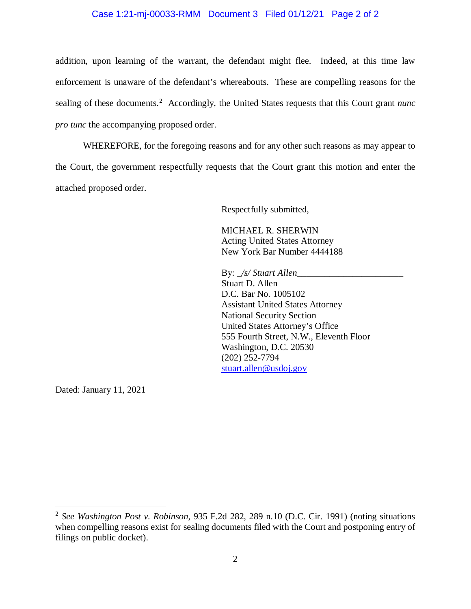### Case 1:21-mj-00033-RMM Document 3 Filed 01/12/21 Page 2 of 2

addition, upon learning of the warrant, the defendant might flee. Indeed, at this time law enforcement is unaware of the defendant's whereabouts. These are compelling reasons for the sealing of these documents.<sup>2</sup> Accordingly, the United States requests that this Court grant *nunc pro tunc* the accompanying proposed order.

WHEREFORE, for the foregoing reasons and for any other such reasons as may appear to the Court, the government respectfully requests that the Court grant this motion and enter the attached proposed order.

Respectfully submitted,

MICHAEL R. SHERWIN Acting United States Attorney New York Bar Number 4444188

By: *\_/s/ Stuart Allen* 

Stuart D. Allen D.C. Bar No. 1005102 Assistant United States Attorney National Security Section United States Attorney's Office 555 Fourth Street, N.W., Eleventh Floor Washington, D.C. 20530 (202) 252-7794 stuart.allen@usdoj.gov

Dated: January 11, 2021

 <sup>2</sup> *See Washington Post v. Robinson*, 935 F.2d 282, 289 n.10 (D.C. Cir. 1991) (noting situations when compelling reasons exist for sealing documents filed with the Court and postponing entry of filings on public docket).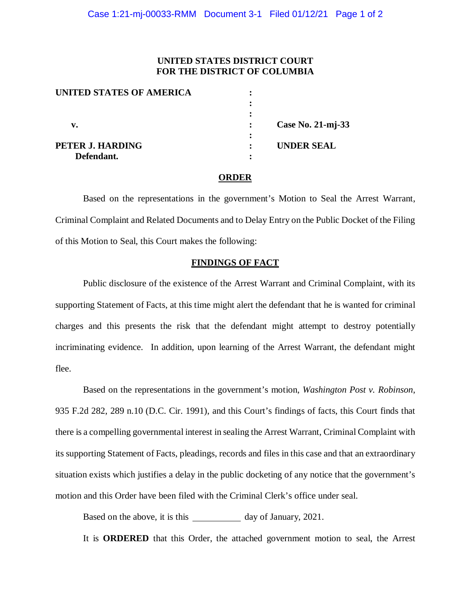## **UNITED STATES DISTRICT COURT FOR THE DISTRICT OF COLUMBIA**

| UNITED STATES OF AMERICA |                   |
|--------------------------|-------------------|
|                          |                   |
|                          |                   |
| v.                       | Case No. 21-mj-33 |
|                          |                   |
| PETER J. HARDING         | <b>UNDER SEAL</b> |
| Defendant.               |                   |

### **ORDER**

Based on the representations in the government's Motion to Seal the Arrest Warrant, Criminal Complaint and Related Documents and to Delay Entry on the Public Docket of the Filing of this Motion to Seal, this Court makes the following:

### **FINDINGS OF FACT**

Public disclosure of the existence of the Arrest Warrant and Criminal Complaint, with its supporting Statement of Facts, at this time might alert the defendant that he is wanted for criminal charges and this presents the risk that the defendant might attempt to destroy potentially incriminating evidence. In addition, upon learning of the Arrest Warrant, the defendant might flee.

Based on the representations in the government's motion, *Washington Post v. Robinson*, 935 F.2d 282, 289 n.10 (D.C. Cir. 1991), and this Court's findings of facts, this Court finds that there is a compelling governmental interest in sealing the Arrest Warrant, Criminal Complaint with its supporting Statement of Facts, pleadings, records and files in this case and that an extraordinary situation exists which justifies a delay in the public docketing of any notice that the government's motion and this Order have been filed with the Criminal Clerk's office under seal.

Based on the above, it is this day of January, 2021.

It is **ORDERED** that this Order, the attached government motion to seal, the Arrest